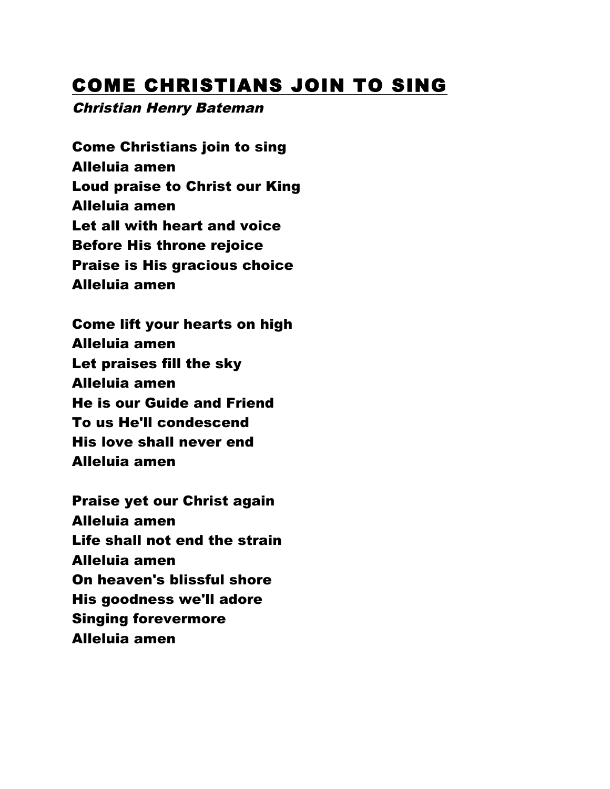## COME CHRISTIANS JOIN TO SING

#### Christian Henry Bateman

Come Christians join to sing Alleluia amen Loud praise to Christ our King Alleluia amen Let all with heart and voice Before His throne rejoice Praise is His gracious choice Alleluia amen

Come lift your hearts on high Alleluia amen Let praises fill the sky Alleluia amen He is our Guide and Friend To us He'll condescend His love shall never end Alleluia amen

Praise yet our Christ again Alleluia amen Life shall not end the strain Alleluia amen On heaven's blissful shore His goodness we'll adore Singing forevermore Alleluia amen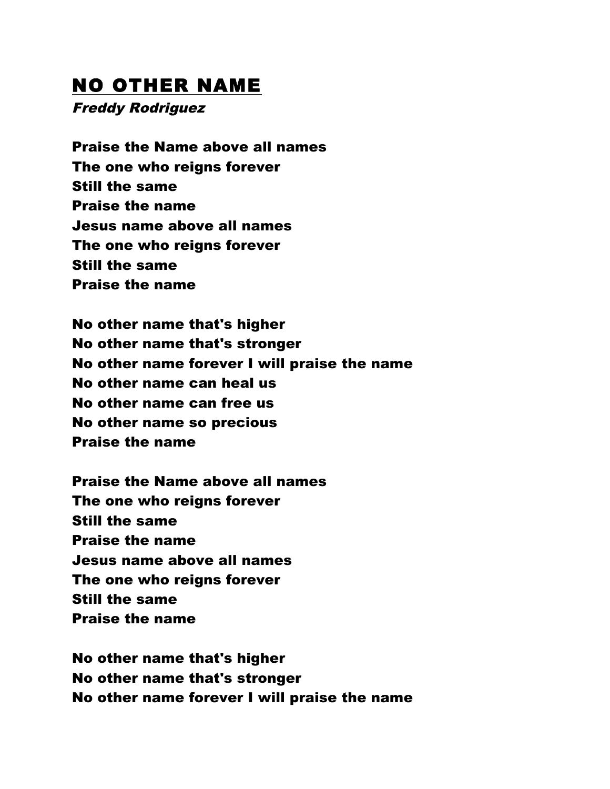### NO OTHER NAME

Freddy Rodriguez

Praise the Name above all names The one who reigns forever Still the same Praise the name Jesus name above all names The one who reigns forever Still the same Praise the name

No other name that's higher No other name that's stronger No other name forever I will praise the name No other name can heal us No other name can free us No other name so precious Praise the name

Praise the Name above all names The one who reigns forever Still the same Praise the name Jesus name above all names The one who reigns forever Still the same Praise the name

No other name that's higher No other name that's stronger No other name forever I will praise the name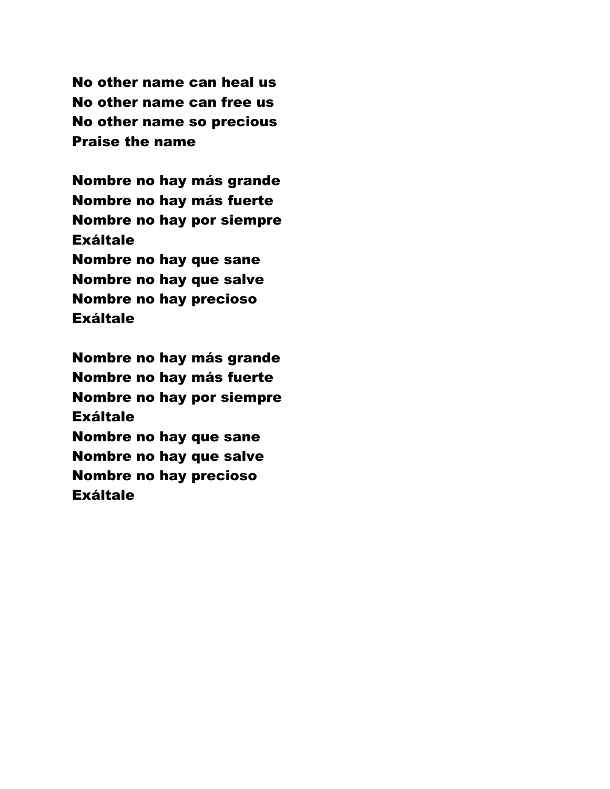No other name can heal us No other name can free us No other name so precious Praise the name

Nombre no hay más grande Nombre no hay más fuerte Nombre no hay por siempre Exáltale Nombre no hay que sane Nombre no hay que salve Nombre no hay precioso **Exáltale** 

Nombre no hay más grande Nombre no hay más fuerte Nombre no hay por siempre Exáltale Nombre no hay que sane Nombre no hay que salve Nombre no hay precioso Exáltale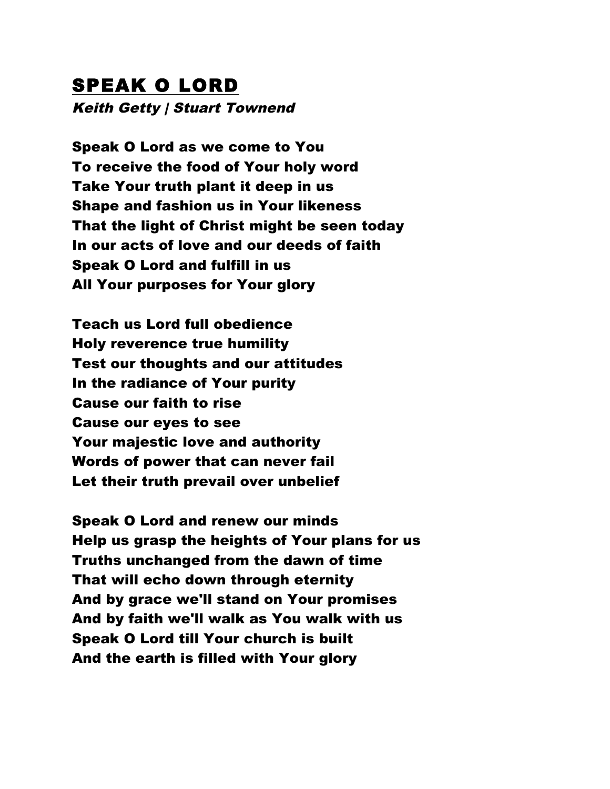# SPEAK O LORD

Keith Getty | Stuart Townend

Speak O Lord as we come to You To receive the food of Your holy word Take Your truth plant it deep in us Shape and fashion us in Your likeness That the light of Christ might be seen today In our acts of love and our deeds of faith Speak O Lord and fulfill in us All Your purposes for Your glory

Teach us Lord full obedience Holy reverence true humility Test our thoughts and our attitudes In the radiance of Your purity Cause our faith to rise Cause our eyes to see Your majestic love and authority Words of power that can never fail Let their truth prevail over unbelief

Speak O Lord and renew our minds Help us grasp the heights of Your plans for us Truths unchanged from the dawn of time That will echo down through eternity And by grace we'll stand on Your promises And by faith we'll walk as You walk with us Speak O Lord till Your church is built And the earth is filled with Your glory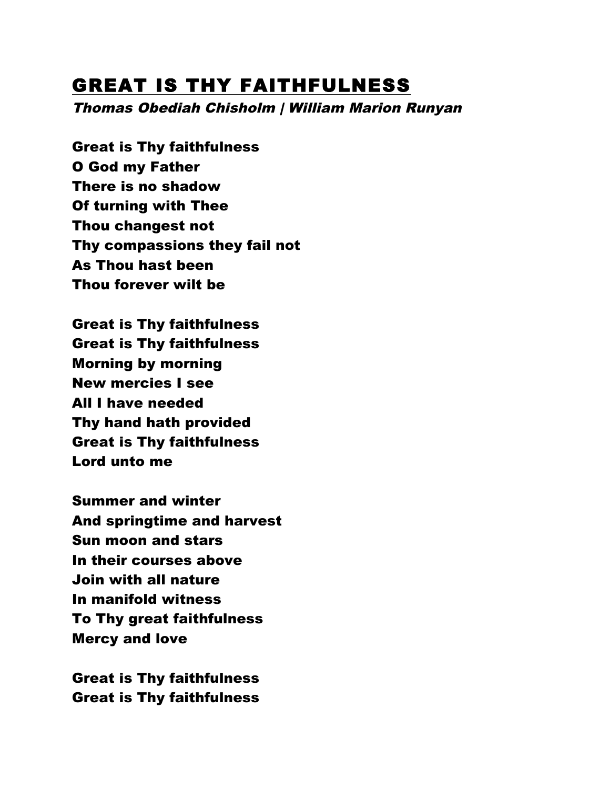#### GREAT IS THY FAITHFULNESS

Thomas Obediah Chisholm | William Marion Runyan

Great is Thy faithfulness O God my Father There is no shadow Of turning with Thee Thou changest not Thy compassions they fail not As Thou hast been Thou forever wilt be

Great is Thy faithfulness Great is Thy faithfulness Morning by morning New mercies I see All I have needed Thy hand hath provided Great is Thy faithfulness Lord unto me

Summer and winter And springtime and harvest Sun moon and stars In their courses above Join with all nature In manifold witness To Thy great faithfulness Mercy and love

Great is Thy faithfulness Great is Thy faithfulness